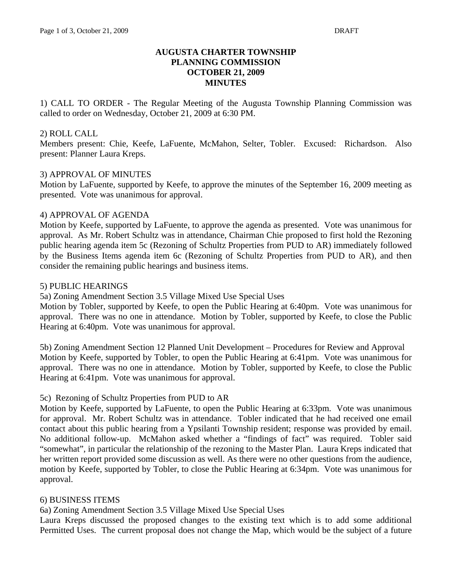## **AUGUSTA CHARTER TOWNSHIP PLANNING COMMISSION OCTOBER 21, 2009 MINUTES**

1) CALL TO ORDER - The Regular Meeting of the Augusta Township Planning Commission was called to order on Wednesday, October 21, 2009 at 6:30 PM.

## 2) ROLL CALL

Members present: Chie, Keefe, LaFuente, McMahon, Selter, Tobler. Excused: Richardson. Also present: Planner Laura Kreps.

#### 3) APPROVAL OF MINUTES

Motion by LaFuente, supported by Keefe, to approve the minutes of the September 16, 2009 meeting as presented. Vote was unanimous for approval.

#### 4) APPROVAL OF AGENDA

Motion by Keefe, supported by LaFuente, to approve the agenda as presented. Vote was unanimous for approval. As Mr. Robert Schultz was in attendance, Chairman Chie proposed to first hold the Rezoning public hearing agenda item 5c (Rezoning of Schultz Properties from PUD to AR) immediately followed by the Business Items agenda item 6c (Rezoning of Schultz Properties from PUD to AR), and then consider the remaining public hearings and business items.

#### 5) PUBLIC HEARINGS

5a) Zoning Amendment Section 3.5 Village Mixed Use Special Uses

Motion by Tobler, supported by Keefe, to open the Public Hearing at 6:40pm. Vote was unanimous for approval. There was no one in attendance. Motion by Tobler, supported by Keefe, to close the Public Hearing at 6:40pm. Vote was unanimous for approval.

5b) Zoning Amendment Section 12 Planned Unit Development – Procedures for Review and Approval Motion by Keefe, supported by Tobler, to open the Public Hearing at 6:41pm. Vote was unanimous for approval. There was no one in attendance. Motion by Tobler, supported by Keefe, to close the Public Hearing at 6:41pm. Vote was unanimous for approval.

## 5c) Rezoning of Schultz Properties from PUD to AR

Motion by Keefe, supported by LaFuente, to open the Public Hearing at 6:33pm. Vote was unanimous for approval. Mr. Robert Schultz was in attendance. Tobler indicated that he had received one email contact about this public hearing from a Ypsilanti Township resident; response was provided by email. No additional follow-up. McMahon asked whether a "findings of fact" was required. Tobler said "somewhat", in particular the relationship of the rezoning to the Master Plan. Laura Kreps indicated that her written report provided some discussion as well. As there were no other questions from the audience, motion by Keefe, supported by Tobler, to close the Public Hearing at 6:34pm. Vote was unanimous for approval.

## 6) BUSINESS ITEMS

6a) Zoning Amendment Section 3.5 Village Mixed Use Special Uses

Laura Kreps discussed the proposed changes to the existing text which is to add some additional Permitted Uses. The current proposal does not change the Map, which would be the subject of a future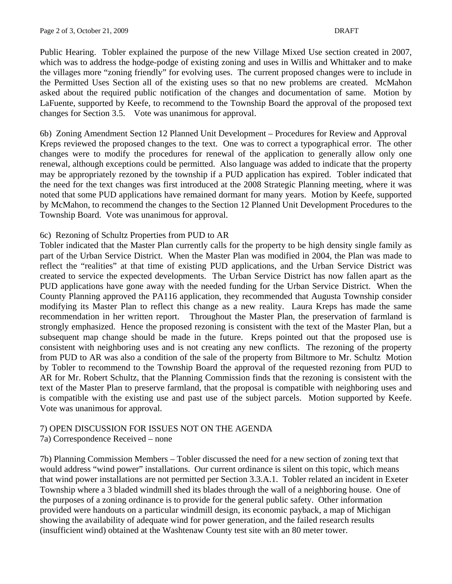Public Hearing. Tobler explained the purpose of the new Village Mixed Use section created in 2007, which was to address the hodge-podge of existing zoning and uses in Willis and Whittaker and to make the villages more "zoning friendly" for evolving uses. The current proposed changes were to include in the Permitted Uses Section all of the existing uses so that no new problems are created. McMahon asked about the required public notification of the changes and documentation of same. Motion by LaFuente, supported by Keefe, to recommend to the Township Board the approval of the proposed text changes for Section 3.5. Vote was unanimous for approval.

6b) Zoning Amendment Section 12 Planned Unit Development – Procedures for Review and Approval Kreps reviewed the proposed changes to the text. One was to correct a typographical error. The other changes were to modify the procedures for renewal of the application to generally allow only one renewal, although exceptions could be permitted. Also language was added to indicate that the property may be appropriately rezoned by the township if a PUD application has expired. Tobler indicated that the need for the text changes was first introduced at the 2008 Strategic Planning meeting, where it was noted that some PUD applications have remained dormant for many years. Motion by Keefe, supported by McMahon, to recommend the changes to the Section 12 Planned Unit Development Procedures to the Township Board. Vote was unanimous for approval.

# 6c) Rezoning of Schultz Properties from PUD to AR

Tobler indicated that the Master Plan currently calls for the property to be high density single family as part of the Urban Service District. When the Master Plan was modified in 2004, the Plan was made to reflect the "realities" at that time of existing PUD applications, and the Urban Service District was created to service the expected developments. The Urban Service District has now fallen apart as the PUD applications have gone away with the needed funding for the Urban Service District. When the County Planning approved the PA116 application, they recommended that Augusta Township consider modifying its Master Plan to reflect this change as a new reality. Laura Kreps has made the same recommendation in her written report. Throughout the Master Plan, the preservation of farmland is strongly emphasized. Hence the proposed rezoning is consistent with the text of the Master Plan, but a subsequent map change should be made in the future. Kreps pointed out that the proposed use is consistent with neighboring uses and is not creating any new conflicts. The rezoning of the property from PUD to AR was also a condition of the sale of the property from Biltmore to Mr. Schultz Motion by Tobler to recommend to the Township Board the approval of the requested rezoning from PUD to AR for Mr. Robert Schultz, that the Planning Commission finds that the rezoning is consistent with the text of the Master Plan to preserve farmland, that the proposal is compatible with neighboring uses and is compatible with the existing use and past use of the subject parcels. Motion supported by Keefe. Vote was unanimous for approval.

# 7) OPEN DISCUSSION FOR ISSUES NOT ON THE AGENDA

7a) Correspondence Received – none

7b) Planning Commission Members – Tobler discussed the need for a new section of zoning text that would address "wind power" installations. Our current ordinance is silent on this topic, which means that wind power installations are not permitted per Section 3.3.A.1. Tobler related an incident in Exeter Township where a 3 bladed windmill shed its blades through the wall of a neighboring house. One of the purposes of a zoning ordinance is to provide for the general public safety. Other information provided were handouts on a particular windmill design, its economic payback, a map of Michigan showing the availability of adequate wind for power generation, and the failed research results (insufficient wind) obtained at the Washtenaw County test site with an 80 meter tower.